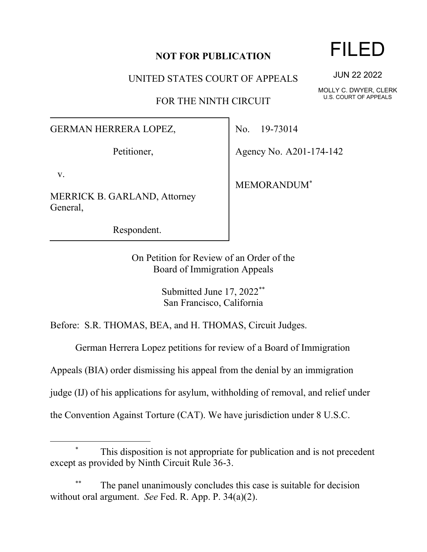## **NOT FOR PUBLICATION**

UNITED STATES COURT OF APPEALS

FOR THE NINTH CIRCUIT

## GERMAN HERRERA LOPEZ,

Petitioner,

v.

MERRICK B. GARLAND, Attorney General,

Respondent.

No. 19-73014

Agency No. A201-174-142

MEMORANDUM\*

On Petition for Review of an Order of the Board of Immigration Appeals

> Submitted June 17, 2022\*\* San Francisco, California

Before: S.R. THOMAS, BEA, and H. THOMAS, Circuit Judges.

German Herrera Lopez petitions for review of a Board of Immigration

Appeals (BIA) order dismissing his appeal from the denial by an immigration

judge (IJ) of his applications for asylum, withholding of removal, and relief under

the Convention Against Torture (CAT). We have jurisdiction under 8 U.S.C.

FILED

JUN 22 2022

MOLLY C. DWYER, CLERK U.S. COURT OF APPEALS

This disposition is not appropriate for publication and is not precedent except as provided by Ninth Circuit Rule 36-3.

The panel unanimously concludes this case is suitable for decision without oral argument. *See* Fed. R. App. P. 34(a)(2).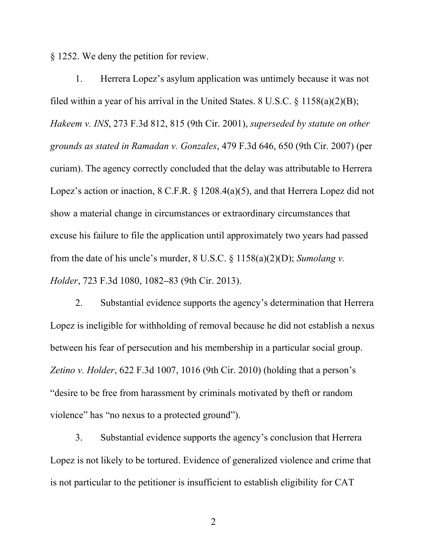§ 1252. We deny the petition for review.

1. Herrera Lopez's asylum application was untimely because it was not filed within a year of his arrival in the United States. 8 U.S.C.  $\frac{\xi}{158(a)(2)(B)}$ ; *Hakeem v. INS*, 273 F.3d 812, 815 (9th Cir. 2001), *superseded by statute on other grounds as stated in Ramadan v. Gonzales*, 479 F.3d 646, 650 (9th Cir. 2007) (per curiam). The agency correctly concluded that the delay was attributable to Herrera Lopez's action or inaction, 8 C.F.R. § 1208.4(a)(5), and that Herrera Lopez did not show a material change in circumstances or extraordinary circumstances that excuse his failure to file the application until approximately two years had passed from the date of his uncle's murder, 8 U.S.C. § 1158(a)(2)(D); *Sumolang v. Holder*, 723 F.3d 1080, 1082**–**83 (9th Cir. 2013).

2. Substantial evidence supports the agency's determination that Herrera Lopez is ineligible for withholding of removal because he did not establish a nexus between his fear of persecution and his membership in a particular social group. *Zetino v. Holder*, 622 F.3d 1007, 1016 (9th Cir. 2010) (holding that a person's "desire to be free from harassment by criminals motivated by theft or random violence" has "no nexus to a protected ground").

3. Substantial evidence supports the agency's conclusion that Herrera Lopez is not likely to be tortured. Evidence of generalized violence and crime that is not particular to the petitioner is insufficient to establish eligibility for CAT

2 a set of  $\sim$  2 a set of  $\sim$  2 a set of  $\sim$  2 a set of  $\sim$  3 a set of  $\sim$  3 a set of  $\sim$  3 a set of  $\sim$  3 a set of  $\sim$  3 a set of  $\sim$  3 a set of  $\sim$  3 a set of  $\sim$  3 a set of  $\sim$  3 a set of  $\sim$  3 a set of  $\sim$